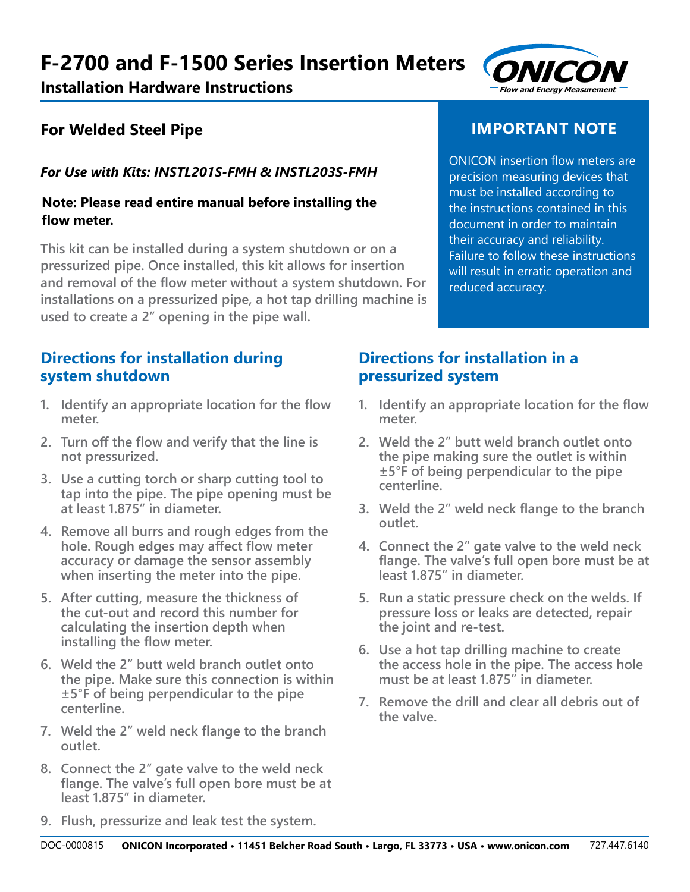#### **ON Flow and Energy Measuremen** I**CON t**

# **For Welded Steel Pipe**

## *For Use with Kits: INSTL201S-FMH & INSTL203S-FMH*

#### **Note: Please read entire manual before installing the flow meter.**

**This kit can be installed during a system shutdown or on a pressurized pipe. Once installed, this kit allows for insertion and removal of the flow meter without a system shutdown. For installations on a pressurized pipe, a hot tap drilling machine is used to create a 2" opening in the pipe wall.**

### **Directions for installation during system shutdown**

- **1. Identify an appropriate location for the flow meter.**
- **2. Turn off the flow and verify that the line is not pressurized.**
- **3. Use a cutting torch or sharp cutting tool to tap into the pipe. The pipe opening must be at least 1.875" in diameter.**
- **4. Remove all burrs and rough edges from the hole. Rough edges may affect flow meter accuracy or damage the sensor assembly when inserting the meter into the pipe.**
- **5. After cutting, measure the thickness of the cut-out and record this number for calculating the insertion depth when installing the flow meter.**
- **6. Weld the 2" butt weld branch outlet onto the pipe. Make sure this connection is within ±5°F of being perpendicular to the pipe centerline.**
- **7. Weld the 2" weld neck flange to the branch outlet.**
- **8. Connect the 2" gate valve to the weld neck flange. The valve's full open bore must be at least 1.875" in diameter.**

# **IMPORTANT NOTE**

ONICON insertion flow meters are precision measuring devices that must be installed according to the instructions contained in this document in order to maintain their accuracy and reliability. Failure to follow these instructions will result in erratic operation and reduced accuracy.

### **Directions for installation in a pressurized system**

- **1. Identify an appropriate location for the flow meter.**
- **2. Weld the 2" butt weld branch outlet onto the pipe making sure the outlet is within ±5°F of being perpendicular to the pipe centerline.**
- **3. Weld the 2" weld neck flange to the branch outlet.**
- **4. Connect the 2" gate valve to the weld neck flange. The valve's full open bore must be at least 1.875" in diameter.**
- **5. Run a static pressure check on the welds. If pressure loss or leaks are detected, repair the joint and re-test.**
- **6. Use a hot tap drilling machine to create the access hole in the pipe. The access hole must be at least 1.875" in diameter.**
- **7. Remove the drill and clear all debris out of the valve.**

**9. Flush, pressurize and leak test the system.**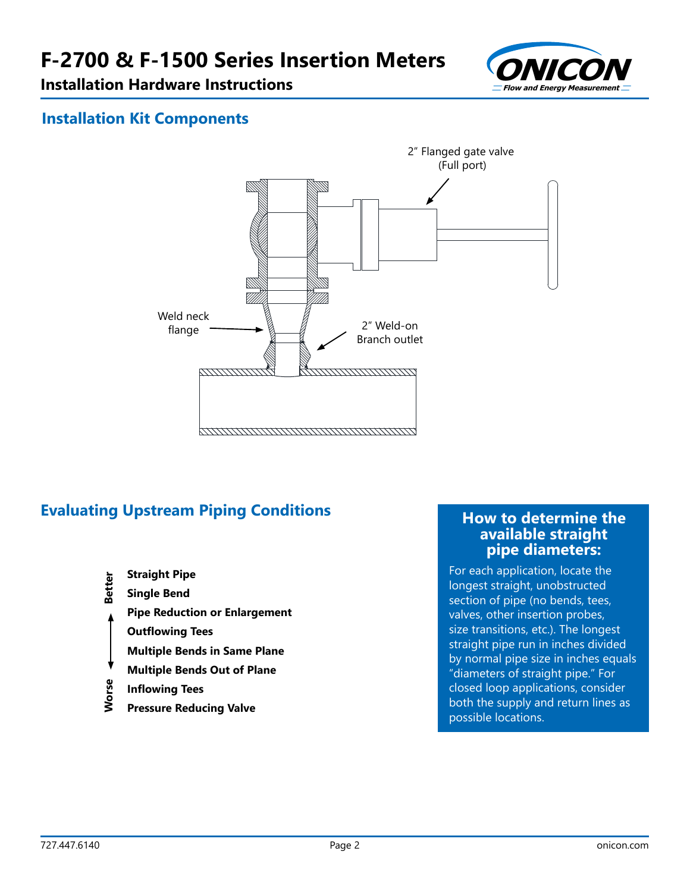

## **Installation Kit Components**



# **Evaluating Upstream Piping Conditions <b>How to determine the**

- **Straight Pipe**
- Better **Single Bend**
- **Pipe Reduction or Enlargement**
	- **Outflowing Tees**
- **Multiple Bends in Same Plane**
- **Multiple Bends Out of Plane**
- **Worse Better** Worse **Inflowing Tees**
- **Pressure Reducing Valve**

# **available straight pipe diameters:**

For each application, locate the longest straight, unobstructed section of pipe (no bends, tees, valves, other insertion probes, size transitions, etc.). The longest straight pipe run in inches divided by normal pipe size in inches equals "diameters of straight pipe." For closed loop applications, consider both the supply and return lines as possible locations.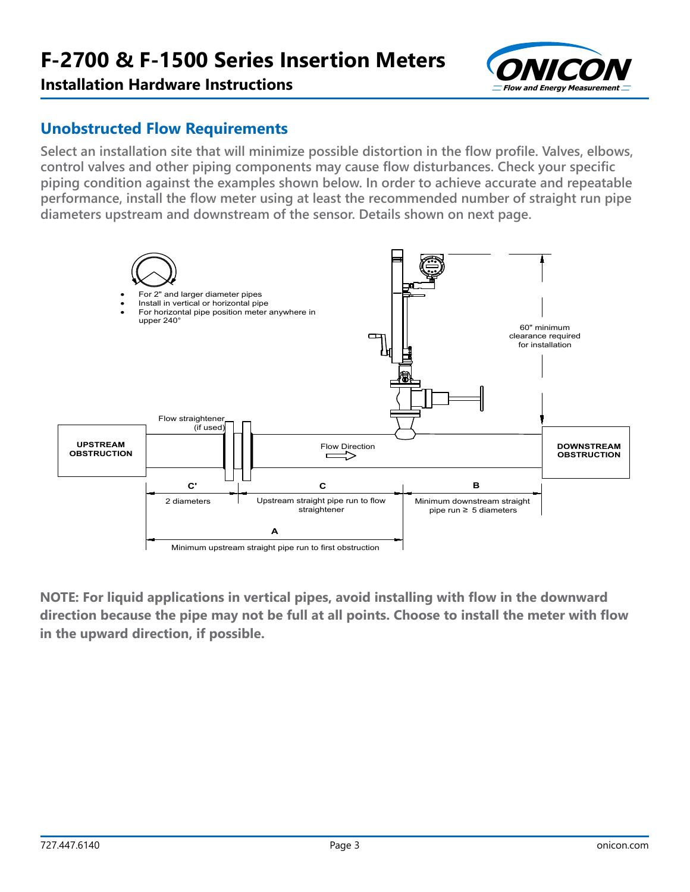

#### **Unobstructed Flow Requirements**

**Select an installation site that will minimize possible distortion in the flow profile. Valves, elbows, control valves and other piping components may cause flow disturbances. Check your specific piping condition against the examples shown below. In order to achieve accurate and repeatable performance, install the flow meter using at least the recommended number of straight run pipe diameters upstream and downstream of the sensor. Details shown on next page.**



**NOTE: For liquid applications in vertical pipes, avoid installing with flow in the downward**  direction because the pipe may not be full at all points. Choose to install the meter with flow **in the upward direction, if possible.**